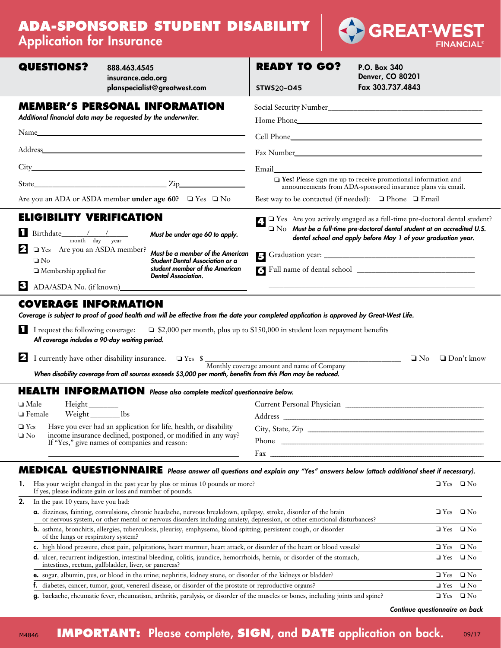# **ADA-SPONSORED STUDENT DISABILITY** Application for Insurance



| <b>Application for moorance</b>                                                                                                                                                                                                                                                                                                                                                                                                 |                                                                                                                                                                                                                                                                             |                                          | <b>FINANCIAL</b>                                                                                                                                              |
|---------------------------------------------------------------------------------------------------------------------------------------------------------------------------------------------------------------------------------------------------------------------------------------------------------------------------------------------------------------------------------------------------------------------------------|-----------------------------------------------------------------------------------------------------------------------------------------------------------------------------------------------------------------------------------------------------------------------------|------------------------------------------|---------------------------------------------------------------------------------------------------------------------------------------------------------------|
| <b>QUESTIONS?</b>                                                                                                                                                                                                                                                                                                                                                                                                               | 888.463.4545<br>insurance.ada.org<br>planspecialist@greatwest.com                                                                                                                                                                                                           | <b>READY TO GO?</b><br><b>STWS20-045</b> | P.O. Box 340<br>Denver, CO 80201<br>Fax 303.737.4843                                                                                                          |
|                                                                                                                                                                                                                                                                                                                                                                                                                                 | <b>MEMBER'S PERSONAL INFORMATION</b><br>Additional financial data may be requested by the underwriter.                                                                                                                                                                      |                                          | Home Phone <b>Manual</b>                                                                                                                                      |
|                                                                                                                                                                                                                                                                                                                                                                                                                                 |                                                                                                                                                                                                                                                                             |                                          |                                                                                                                                                               |
|                                                                                                                                                                                                                                                                                                                                                                                                                                 |                                                                                                                                                                                                                                                                             |                                          |                                                                                                                                                               |
|                                                                                                                                                                                                                                                                                                                                                                                                                                 |                                                                                                                                                                                                                                                                             |                                          |                                                                                                                                                               |
|                                                                                                                                                                                                                                                                                                                                                                                                                                 | $State$ $Zip$                                                                                                                                                                                                                                                               |                                          | Tes! Please sign me up to receive promotional information and<br>announcements from ADA-sponsored insurance plans via email.                                  |
|                                                                                                                                                                                                                                                                                                                                                                                                                                 | Are you an ADA or ASDA member under age 60? $\Box$ Yes $\Box$ No                                                                                                                                                                                                            |                                          | Best way to be contacted (if needed): □ Phone □ Email                                                                                                         |
| <b>ELIGIBILITY VERIFICATION</b>                                                                                                                                                                                                                                                                                                                                                                                                 |                                                                                                                                                                                                                                                                             |                                          | → Yes Are you actively engaged as a full-time pre-doctoral dental student?                                                                                    |
| $\frac{1}{\sqrt{1-\frac{1}{2}}}\frac{1}{\sqrt{1-\frac{1}{2}}}\frac{1}{\sqrt{1-\frac{1}{2}}}\frac{1}{\sqrt{1-\frac{1}{2}}}\frac{1}{\sqrt{1-\frac{1}{2}}}\frac{1}{\sqrt{1-\frac{1}{2}}}\frac{1}{\sqrt{1-\frac{1}{2}}}\frac{1}{\sqrt{1-\frac{1}{2}}}\frac{1}{\sqrt{1-\frac{1}{2}}}\frac{1}{\sqrt{1-\frac{1}{2}}}\frac{1}{\sqrt{1-\frac{1}{2}}}\frac{1}{\sqrt{1-\frac{1}{2}}}\frac{1}{\sqrt{1-\frac{1}{2}}}\frac{1}{\sqrt{1-\frac{$ | Must be under age 60 to apply.                                                                                                                                                                                                                                              |                                          | $\Box$ $\mathrm{No}\ $ Must be a full-time pre-doctoral dental student at an accredited U.S.<br>dental school and apply before May 1 of your graduation year. |
| $\mathbf{P}$ $\Box$ Yes Are you an ASDA member?<br>$\square$ No<br>$\Box$ Membership applied for                                                                                                                                                                                                                                                                                                                                | Must be a member of the American<br>Student Dental Association or a<br>student member of the American<br><b>Dental Association.</b>                                                                                                                                         |                                          |                                                                                                                                                               |
| 3<br>ADA/ASDA No. (if known)                                                                                                                                                                                                                                                                                                                                                                                                    |                                                                                                                                                                                                                                                                             |                                          |                                                                                                                                                               |
| All coverage includes a 90-day waiting period.                                                                                                                                                                                                                                                                                                                                                                                  | Coverage is subject to proof of good health and will be effective from the date your completed application is approved by Great-West Life.<br>I request the following coverage: $\Box$ \$2,000 per month, plus up to \$150,000 in student loan repayment benefits           |                                          |                                                                                                                                                               |
|                                                                                                                                                                                                                                                                                                                                                                                                                                 | $\triangleright$ I currently have other disability insurance. $\Box$ Yes $\frac{1}{\Box}$ Yes $\frac{1}{\Box}$ Monthly coverage amount and name of Company                                                                                                                  |                                          | $\Box$ Don't know<br>$\Box$ No                                                                                                                                |
|                                                                                                                                                                                                                                                                                                                                                                                                                                 | When disability coverage from all sources exceeds \$3,000 per month, benefits from this Plan may be reduced.                                                                                                                                                                |                                          |                                                                                                                                                               |
|                                                                                                                                                                                                                                                                                                                                                                                                                                 | <b>HEALTH INFORMATION</b> Please also complete medical questionnaire below.                                                                                                                                                                                                 |                                          |                                                                                                                                                               |
| $\square$ Male<br>$Height$ <sub>__________</sub>                                                                                                                                                                                                                                                                                                                                                                                |                                                                                                                                                                                                                                                                             |                                          |                                                                                                                                                               |
| Weight__________lbs<br>$\hfill\Box$ Female<br>$\Box$ Yes                                                                                                                                                                                                                                                                                                                                                                        | Have you ever had an application for life, health, or disability                                                                                                                                                                                                            | Address .                                |                                                                                                                                                               |
| $\square$ No                                                                                                                                                                                                                                                                                                                                                                                                                    | income insurance declined, postponed, or modified in any way?<br>If "Yes," give names of companies and reason:                                                                                                                                                              |                                          |                                                                                                                                                               |
|                                                                                                                                                                                                                                                                                                                                                                                                                                 |                                                                                                                                                                                                                                                                             |                                          |                                                                                                                                                               |
| 1.                                                                                                                                                                                                                                                                                                                                                                                                                              | MEDICAL QUESTIONNAIRE Please answer all questions and explain any "Yes" answers below (attach additional sheet if necessary).<br>Has your weight changed in the past year by plus or minus 10 pounds or more?<br>If yes, please indicate gain or loss and number of pounds. |                                          | $\Box$ Yes $\Box$ No                                                                                                                                          |
| In the past 10 years, have you had:<br>2.                                                                                                                                                                                                                                                                                                                                                                                       |                                                                                                                                                                                                                                                                             |                                          |                                                                                                                                                               |
|                                                                                                                                                                                                                                                                                                                                                                                                                                 | a. dizziness, fainting, convulsions, chronic headache, nervous breakdown, epilepsy, stroke, disorder of the brain<br>or nervous system, or other mental or nervous disorders including anxiety, depression, or other emotional disturbances?                                |                                          | $\Box$ Yes $\Box$ No                                                                                                                                          |
| of the lungs or respiratory system?                                                                                                                                                                                                                                                                                                                                                                                             | b. asthma, bronchitis, allergies, tuberculosis, pleurisy, emphysema, blood spitting, persistent cough, or disorder                                                                                                                                                          |                                          | $\Box$ Yes $\Box$ No                                                                                                                                          |
|                                                                                                                                                                                                                                                                                                                                                                                                                                 | c. high blood pressure, chest pain, palpitations, heart murmur, heart attack, or disorder of the heart or blood vessels?                                                                                                                                                    |                                          | $\Box$ Yes $\Box$ No                                                                                                                                          |
|                                                                                                                                                                                                                                                                                                                                                                                                                                 | d. ulcer, recurrent indigestion, intestinal bleeding, colitis, jaundice, hemorrhoids, hernia, or disorder of the stomach,<br>intestines, rectum, gallbladder, liver, or pancreas?                                                                                           |                                          | $\Box$ Yes $\Box$ No                                                                                                                                          |

e. sugar, albumin, pus, or blood in the urine; nephritis, kidney stone, or disorder of the kidneys or bladder?  $\Box$  Yes  $\Box$  No f. diabetes, cancer, tumor, gout, venereal disease, or disorder of the prostate or reproductive organs?  $\Box$  Yes  $\Box$  No

**g.** backache, rheumatic fever, rheumatism, arthritis, paralysis, or disorder of the muscles or bones, including joints and spine?  $\square$  Yes  $\square$  No

*Continue questionnaire on back*